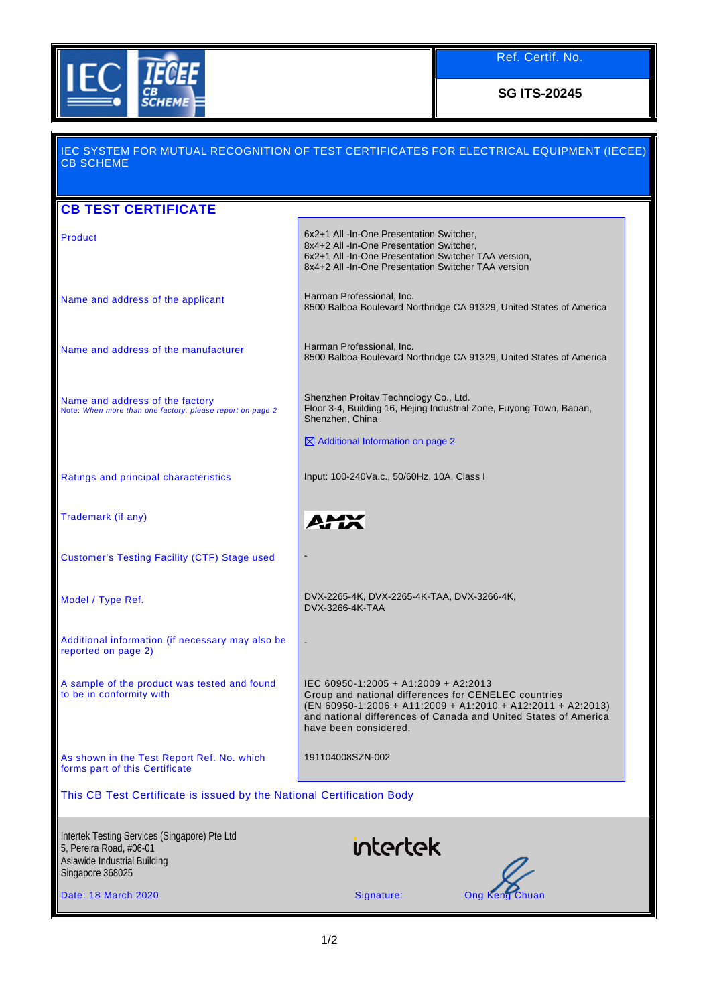

Ref. Certif. No.

**SG ITS-20245**

## IEC SYSTEM FOR MUTUAL RECOGNITION OF TEST CERTIFICATES FOR ELECTRICAL EQUIPMENT (IECEE) CB SCHEME **CB TEST CERTIFICATE** Product **6x2+1 All -In-One Presentation Switcher,** 8x4+2 All -In-One Presentation Switcher, 6x2+1 All -In-One Presentation Switcher TAA version, 8x4+2 All -In-One Presentation Switcher TAA version Name and address of the applicant Harman Professional, Inc. 8500 Balboa Boulevard Northridge CA 91329, United States of America Name and address of the manufacturer Harman Professional, Inc. 8500 Balboa Boulevard Northridge CA 91329, United States of America Shenzhen Proitav Technology Co., Ltd. Name and address of the factory Floor 3-4, Building 16, Hejing Industrial Zone, Fuyong Town, Baoan, Note: *When more than one factory, please report on page 2* Shenzhen, China  $\boxtimes$  Additional Information on page 2 Ratings and principal characteristics Input: 100-240Va.c., 50/60Hz, 10A, Class I Trademark (if any) AM. Customer's Testing Facility (CTF) Stage used - Model / Type Ref. DVX-2265-4K, DVX-2265-4K-TAA, DVX-3266-4K, DVX-3266-4K-TAA Additional information (if necessary may also be reported on page 2) - A sample of the product was tested and found IEC 60950-1:2005 + A1:2009 + A2:2013 to be in conformity with Group and national differences for CENELEC countries (EN 60950-1:2006 + A11:2009 + A1:2010 + A12:2011 + A2:2013) and national differences of Canada and United States of America have been considered. As shown in the Test Report Ref. No. which 191104008SZN-002 forms part of this Certificate This CB Test Certificate is issued by the National Certification Body Intertek Testing Services (Singapore) Pte Ltd intertek 5, Pereira Road, #06-01 Asiawide Industrial Building Singapore 368025 Date: 18 March 2020 **Signature:** Chuan Chuan Signature: Ong Keng Chuan Chuan Signature: Chuan Chuan Chuan Signature: Chuan Chuan Chuan Signature: Chuan Chuan Chuan Signature: Chuan Chuan Chuan Signature: Chuan Chuan Chuan